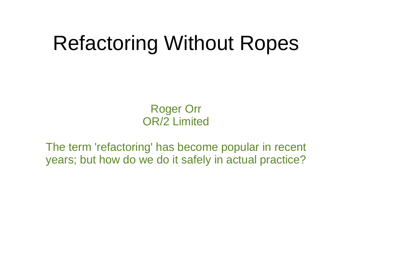#### Refactoring Without Ropes

Roger Orr OR/2 Limited

The term 'refactoring' has become popular in recent years; but how do we do it safely in actual practice?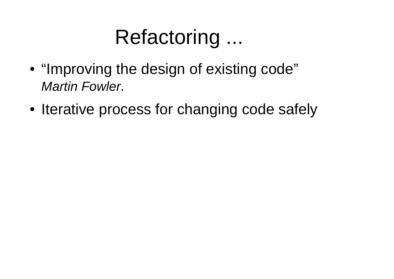#### Refactoring ...

- ● "Improving the design of existing code" *Martin Fowler*.
- ●• Iterative process for changing code safely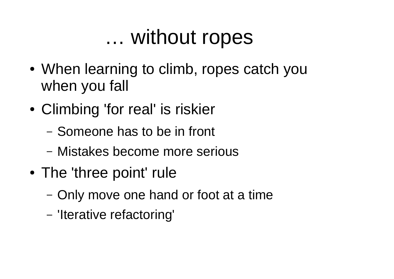#### … without ropes

- When learning to climb, ropes catch you when you fall
- ● Climbing 'for real' is riskier
	- –- Someone has to be in front
	- Mistakes become more serious
- The 'three point' rule
	- –- Only move one hand or foot at a time
	- 'Iterative refactoring'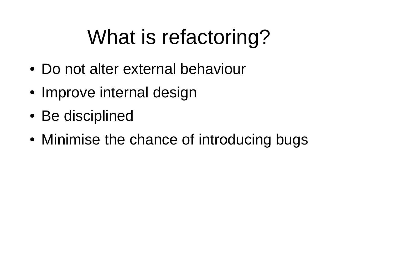# What is refactoring?

- Do not alter external behaviour
- Improve internal design
- Be disciplined
- ●Minimise the chance of introducing bugs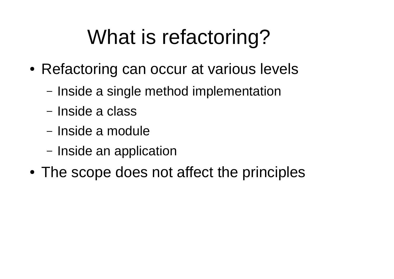# What is refactoring?

- ● Refactoring can occur at various levels
	- Inside a single method implementation
	- Inside a class
	- Inside a module
	- Inside an application
- ●The scope does not affect the principles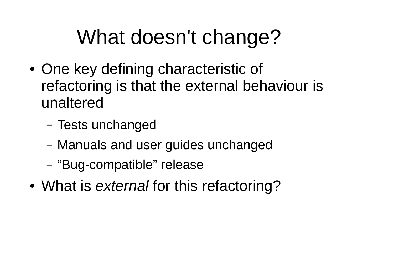# What doesn't change?

- ●• One key defining characteristic of refactoring is that the external behaviour is unaltered
	- –– Tests unchanged
	- Manuals and user guides unchanged
	- "Bug-compatible" release
- ●What is *external* for this refactoring?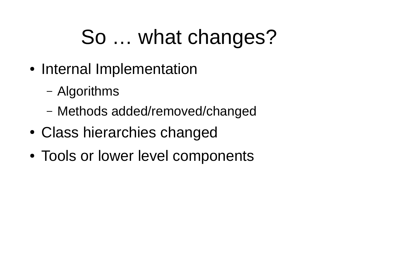# So … what changes?

- Internal Implementation
	- Algorithms
	- Methods added/removed/changed
- ●Class hierarchies changed
- Tools or lower level components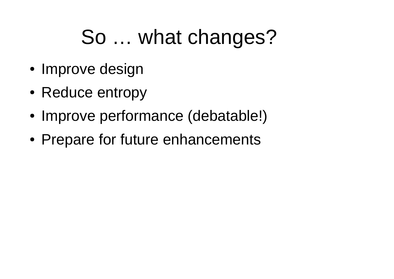# So … what changes?

- Improve design
- Reduce entropy
- ●• Improve performance (debatable!)
- ●• Prepare for future enhancements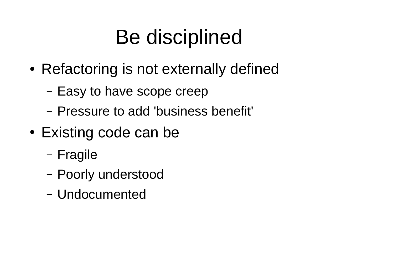# Be disciplined

- ● Refactoring is not externally defined
	- Easy to have scope creep
	- Pressure to add 'business benefit'
- Existing code can be
	- Fragile
	- –Poorly understood
	- Undocumented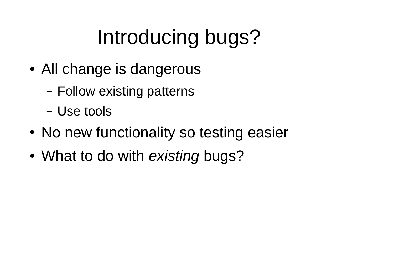# Introducing bugs?

- All change is dangerous
	- Follow existing patterns
	- Use tools
- No new functionality so testing easier
- ●What to do with *existing* bugs?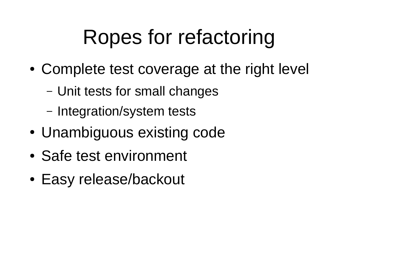# Ropes for refactoring

- ● Complete test coverage at the right level
	- Unit tests for small changes
	- Integration/system tests
- Unambiguous existing code
- Safe test environment
- ●Easy release/backout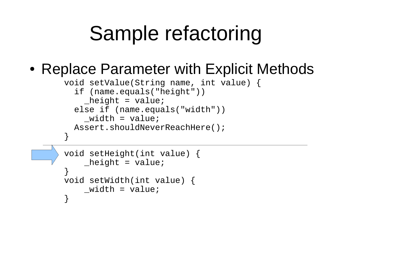#### Sample refactoring

#### • Replace Parameter with Explicit Methods

```
void setValue(String name, int value) {
   if (name.equals("height"))
    height = value;
   else if (name.equals("width"))
    width = value;
   Assert.shouldNeverReachHere();
}
void setHeight(int value) {
    height = value;
}
void setWidth(int value) {
    width = value;
}
```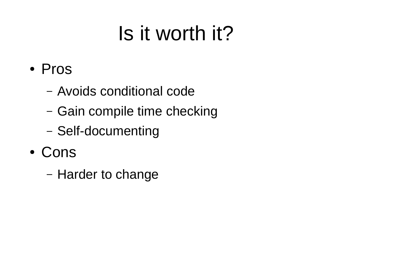# Is it worth it?

- Pros
	- Avoids conditional code
	- Gain compile time checking
	- Self-documenting
- Cons
	- –– Harder to change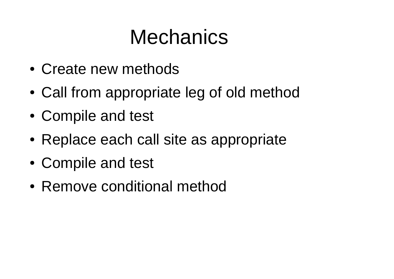#### **Mechanics**

- Create new methods
- ●Call from appropriate leg of old method
- ●Compile and test
- Replace each call site as appropriate
- ●Compile and test
- Remove conditional method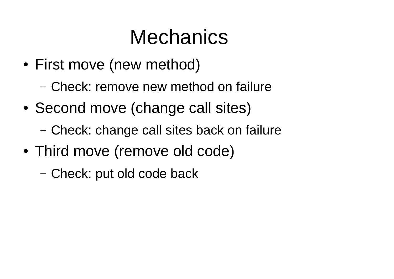# **Mechanics**

- ● First move (new method)
	- –Check: remove new method on failure
- ●• Second move (change call sites)
	- –Check: change call sites back on failure
- ● Third move (remove old code)
	- –Check: put old code back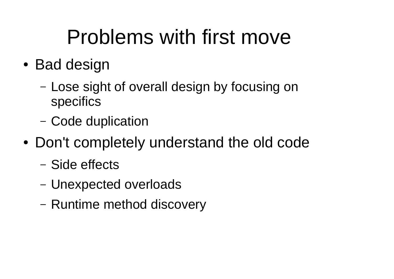# Problems with first move

- Bad design
	- –- Lose sight of overall design by focusing on specifics
	- –Code duplication
- Don't completely understand the old code
	- –Side effects
	- –Unexpected overloads
	- –– Runtime method discovery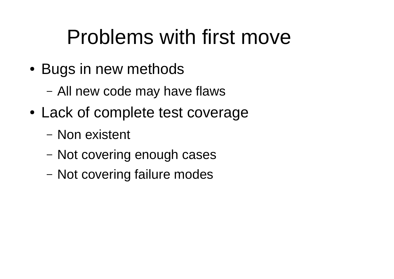### Problems with first move

- Bugs in new methods
	- All new code may have flaws
- ● Lack of complete test coverage
	- Non existent
	- Not covering enough cases
	- –- Not covering failure modes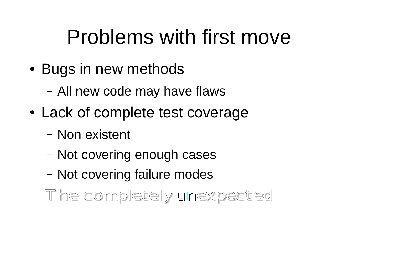### Problems with first move

- Bugs in new methods
	- All new code may have flaws
- ● Lack of complete test coverage
	- Non existent
	- Not covering enough cases
	- –- Not covering failure modes

The completely unexpected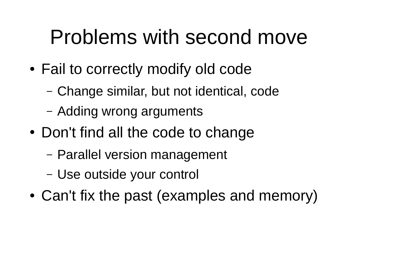#### Problems with second move

- ● Fail to correctly modify old code
	- Change similar, but not identical, code
	- Adding wrong arguments
- Don't find all the code to change
	- Parallel version management
	- –Use outside your control
- ●Can't fix the past (examples and memory)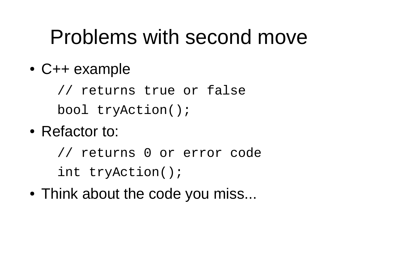#### Problems with second move

●C++ example

> // returns true or false bool tryAction();

• Refactor to:

// returns 0 or error code int tryAction();

• Think about the code you miss...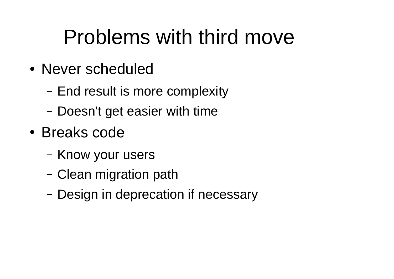### Problems with third move

- Never scheduled
	- End result is more complexity
	- Doesn't get easier with time
- Breaks code
	- Know your users
	- –Clean migration path
	- Design in deprecation if necessary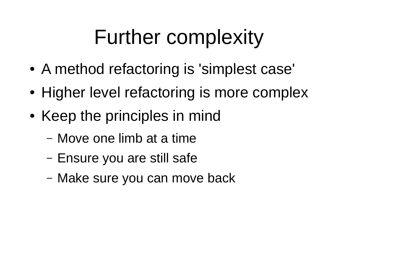- ●A method refactoring is 'simplest case'
- ●• Higher level refactoring is more complex
- Keep the principles in mind
	- –Move one limb at a time
	- Ensure you are still safe
	- Make sure you can move back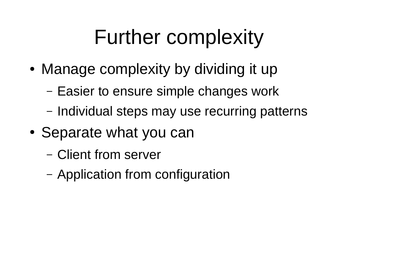- Manage complexity by dividing it up
	- Easier to ensure simple changes work
	- Individual steps may use recurring patterns
- ●• Separate what you can
	- Client from server
	- –Application from configuration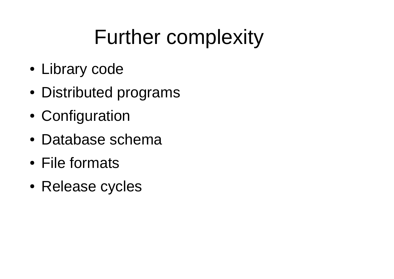- Library code
- Distributed programs
- ●Configuration
- Database schema
- File formats
- Release cycles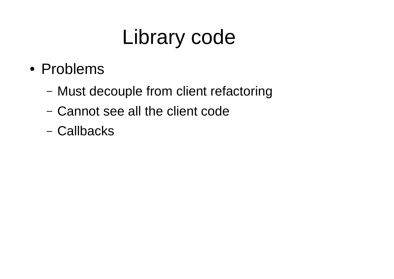- Problems
	- Must decouple from client refactoring
	- Cannot see all the client code
	- Callbacks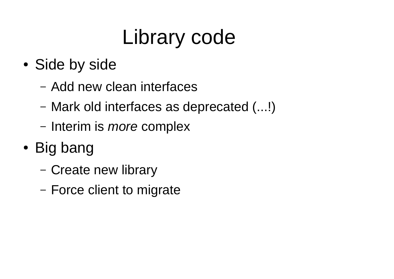- ●• Side by side
	- –Add new clean interfaces
	- –Mark old interfaces as deprecated (...!)
	- –– Interim is *more* complex
- Big bang
	- –- Create new library
	- –- Force client to migrate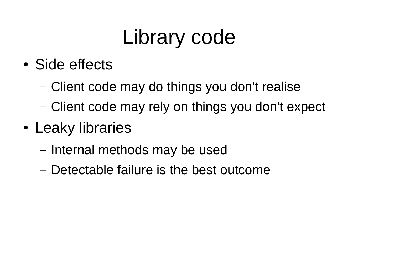- Side effects
	- –Client code may do things you don't realise
	- –Client code may rely on things you don't expect
- Leaky libraries
	- –– Internal methods may be used
	- –- Detectable failure is the best outcome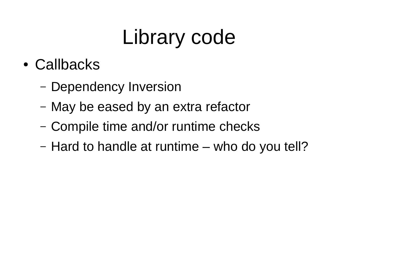- Callbacks
	- –– Dependency Inversion
	- –May be eased by an extra refactor
	- –- Compile time and/or runtime checks
	- –- Hard to handle at runtime – who do you tell?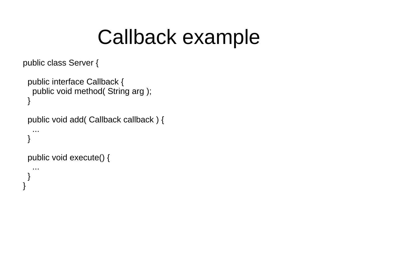#### Callback example

```
public class Server {
```

```
 public interface Callback {
   public void method( String arg );
 }
  public void add( Callback callback ) {
 ...
 }
  public void execute() {
 ...
  }
}
```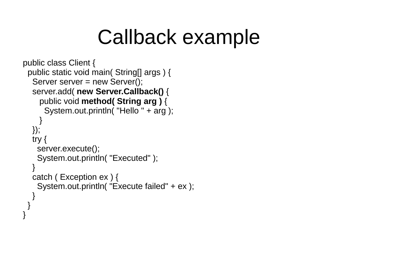#### Callback example

```
public class Client {
  public static void main( String[] args ) {
  Server server = new Server();
   server.add( new Server.Callback() {
     public void method( String arg ) {
       System.out.println( "Hello " + arg );
 }
   });
   try {
     server.execute();
     System.out.println( "Executed" );
 }
   catch ( Exception ex ) {
     System.out.println( "Execute failed" + ex );
 }
 }
```
}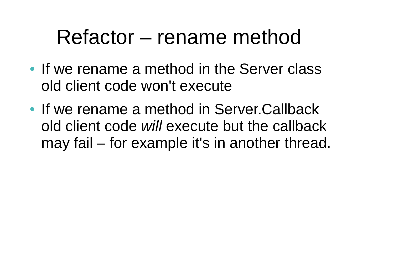#### Refactor – rename method

- If we rename a method in the Server class old client code won't execute
- If we rename a method in Server.Callback old client code *will* execute but the callback may fail – for example it's in another thread.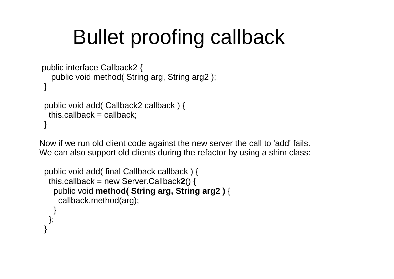# Bullet proofing callback

```
 public interface Callback2 {
    public void method( String arg, String arg2 );
 }
  public void add( Callback2 callback ) {
  this.callback = callback;
 }
```
Now if we run old client code against the new server the call to 'add' fails. We can also support old clients during the refactor by using a shim class:

```
 public void add( final Callback callback ) {
 this.callback = new Server.Callback
2() {
    public void method( String arg, String arg2 ) {
     callback.method(arg);
 }
   };
 }
```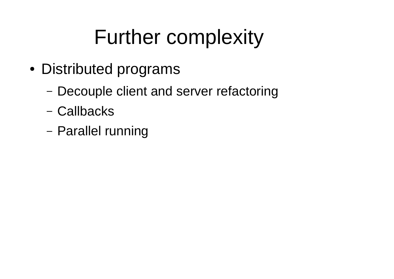- Distributed programs
	- Decouple client and server refactoring
	- Callbacks
	- Parallel running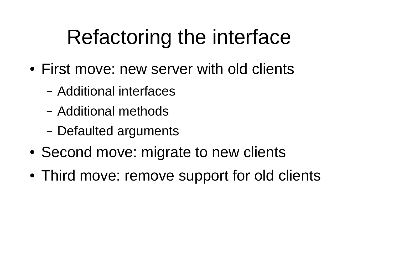# Refactoring the interface

- First move: new server with old clients
	- Additional interfaces
	- Additional methods
	- Defaulted arguments
- ●Second move: migrate to new clients
- ●Third move: remove support for old clients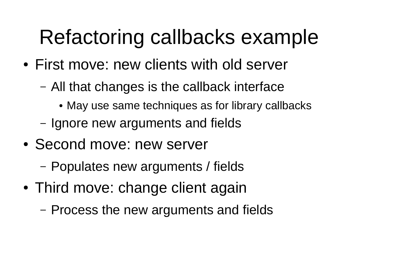# Refactoring callbacks example

- First move: new clients with old server
	- – All that changes is the callback interface
		- May use same techniques as for library callbacks
	- –- Ignore new arguments and fields
- Second move: new server
	- –Populates new arguments / fields
- Third move: change client again
	- –- Process the new arguments and fields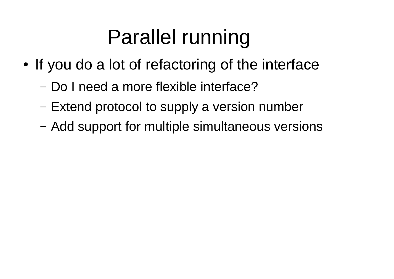# Parallel running

- ●• If you do a lot of refactoring of the interface
	- –Do I need a more flexible interface?
	- –– Extend protocol to supply a version number
	- –Add support for multiple simultaneous versions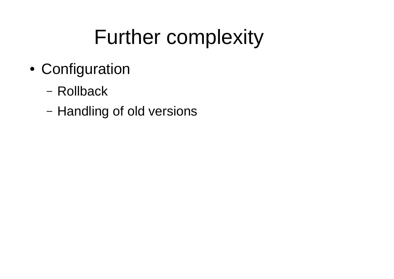- ● Configuration
	- Rollback
	- Handling of old versions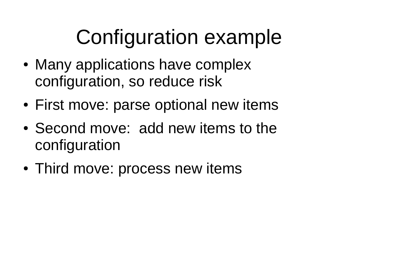# Configuration example

- Many applications have complex configuration, so reduce risk
- First move: parse optional new items
- Second move: add new items to the configuration
- Third move: process new items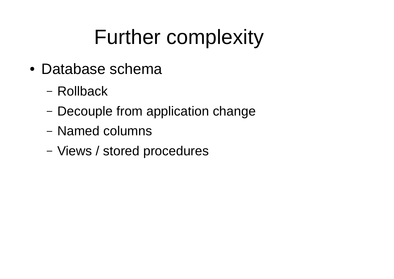- Database schema
	- Rollback
	- Decouple from application change
	- Named columns
	- Views / stored procedures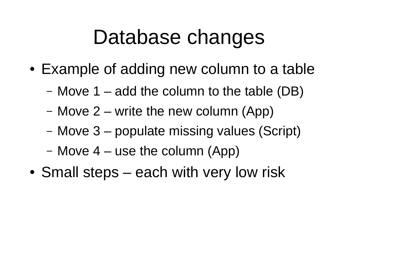#### Database changes

- ● Example of adding new column to a table
	- Move 1 add the column to the table (DB)
	- Move 2 write the new column (App)
	- Move 3 populate missing values (Script)
	- Move 4 use the column (App)
- ●• Small steps – each with very low risk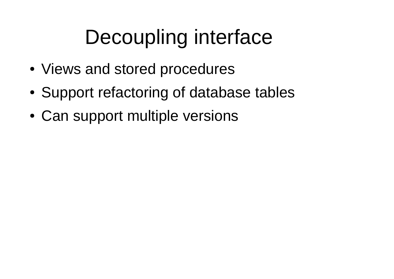# Decoupling interface

- Views and stored procedures
- ●Support refactoring of database tables
- ●Can support multiple versions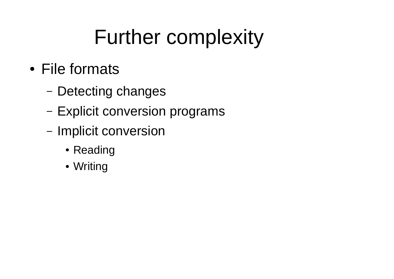- File formats
	- Detecting changes
	- Explicit conversion programs
	- Implicit conversion
		- Reading
		- Writing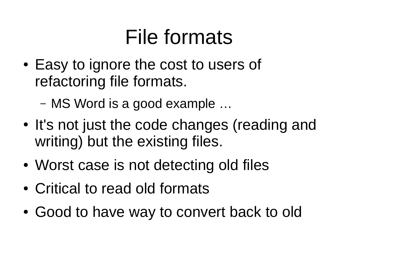# File formats

- ●• Easy to ignore the cost to users of refactoring file formats.
	- –MS Word is a good example …
- ●• It's not just the code changes (reading and writing) but the existing files.
- ●Worst case is not detecting old files
- Critical to read old formats
- ●Good to have way to convert back to old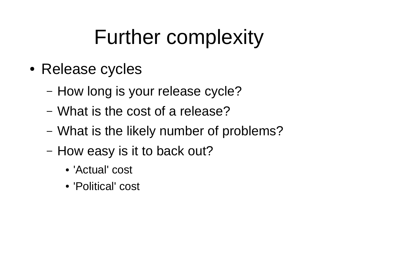- Release cycles
	- How long is your release cycle?
	- What is the cost of a release?
	- What is the likely number of problems?
	- How easy is it to back out?
		- 'Actual' cost
		- 'Political' cost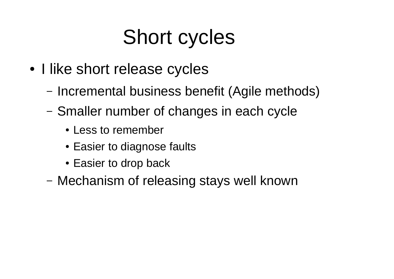# Short cycles

- I like short release cycles
	- Incremental business benefit (Agile methods)
	- Smaller number of changes in each cycle
		- Less to remember
		- Easier to diagnose faults
		- Easier to drop back
	- Mechanism of releasing stays well known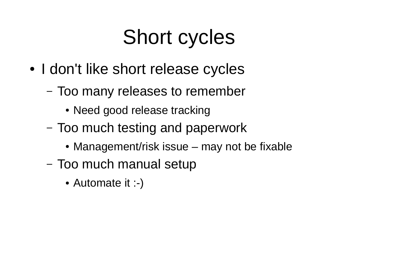# Short cycles

- I don't like short release cycles
	- Too many releases to remember
		- Need good release tracking
	- – Too much testing and paperwork
		- Management/risk issue may not be fixable
	- Too much manual setup
		- Automate it :-)